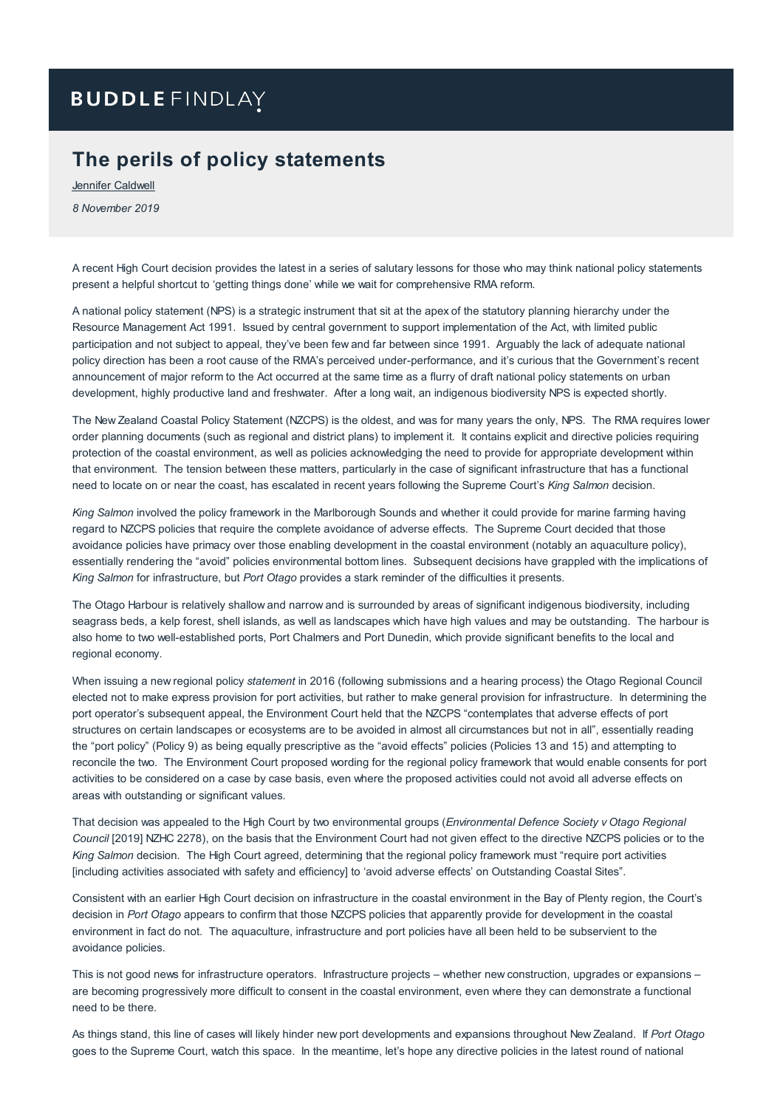# **BUDDLE FINDLAY**

## **The perils of policy statements**

Jennifer [Caldwell](https://www.buddlefindlay.com/people/jennifer-caldwell/) *8 November 2019*

A recent High Court decision provides the latest in a series of salutary lessons for those who may think national policy statements present a helpful shortcut to 'getting things done' while we wait for comprehensive RMA reform.

A national policy statement (NPS) is a strategic instrument that sit at the apex of the statutory planning hierarchy under the Resource Management Act 1991. Issued by central government to support implementation of the Act, with limited public participation and not subject to appeal, they've been few and far between since 1991. Arguably the lack of adequate national policy direction has been a root cause of the RMA's perceived under-performance, and it's curious that the Government's recent announcement of major reform to the Act occurred at the same time as a flurry of draft national policy statements on urban development, highly productive land and freshwater. After a long wait, an indigenous biodiversity NPS is expected shortly.

The New Zealand Coastal Policy Statement (NZCPS) is the oldest, and was for many years the only, NPS. The RMA requires lower order planning documents (such as regional and district plans) to implement it. It contains explicit and directive policies requiring protection of the coastal environment, as well as policies acknowledging the need to provide for appropriate development within that environment. The tension between these matters, particularly in the case of significant infrastructure that has a functional need to locate on or near the coast, has escalated in recent years following the Supreme Court's *King Salmon* decision.

*King Salmon* involved the policy framework in the Marlborough Sounds and whether it could provide for marine farming having regard to NZCPS policies that require the complete avoidance of adverse effects. The Supreme Court decided that those avoidance policies have primacy over those enabling development in the coastal environment (notably an aquaculture policy), essentially rendering the "avoid" policies environmental bottom lines. Subsequent decisions have grappled with the implications of *King Salmon* for infrastructure, but *Port Otago* provides a stark reminder of the difficulties it presents.

The Otago Harbour is relatively shallow and narrow and is surrounded by areas of significant indigenous biodiversity, including seagrass beds, a kelp forest, shell islands, as well as landscapes which have high values and may be outstanding. The harbour is also home to two well-established ports, Port Chalmers and Port Dunedin, which provide significant benefits to the local and regional economy.

When issuing a new regional policy *statement* in 2016 (following submissions and a hearing process) the Otago Regional Council elected not to make express provision for port activities, but rather to make general provision for infrastructure. In determining the port operator's subsequent appeal, the Environment Court held that the NZCPS "contemplates that adverse effects of port structures on certain landscapes or ecosystems are to be avoided in almost all circumstances but not in all", essentially reading the "port policy" (Policy 9) as being equally prescriptive as the "avoid effects" policies (Policies 13 and 15) and attempting to reconcile the two. The Environment Court proposed wording for the regional policy framework that would enable consents for port activities to be considered on a case by case basis, even where the proposed activities could not avoid all adverse effects on areas with outstanding or significant values.

That decision was appealed to the High Court by two environmental groups (*Environmental Defence Society v Otago Regional Council* [2019] NZHC 2278), on the basis that the Environment Court had not given effect to the directive NZCPS policies or to the *King Salmon* decision. The High Court agreed, determining that the regional policy framework must "require port activities [including activities associated with safety and efficiency] to 'avoid adverse effects' on Outstanding Coastal Sites".

Consistent with an earlier High Court decision on infrastructure in the coastal environment in the Bay of Plenty region, the Court's decision in *Port Otago* appears to confirm that those NZCPS policies that apparently provide for development in the coastal environment in fact do not. The aquaculture, infrastructure and port policies have all been held to be subservient to the avoidance policies.

This is not good news for infrastructure operators. Infrastructure projects – whether new construction, upgrades or expansions – are becoming progressively more difficult to consent in the coastal environment, even where they can demonstrate a functional need to be there.

As things stand, this line of cases will likely hinder new port developments and expansions throughout New Zealand. If *Port Otago* goes to the Supreme Court, watch this space. In the meantime, let's hope any directive policies in the latest round of national